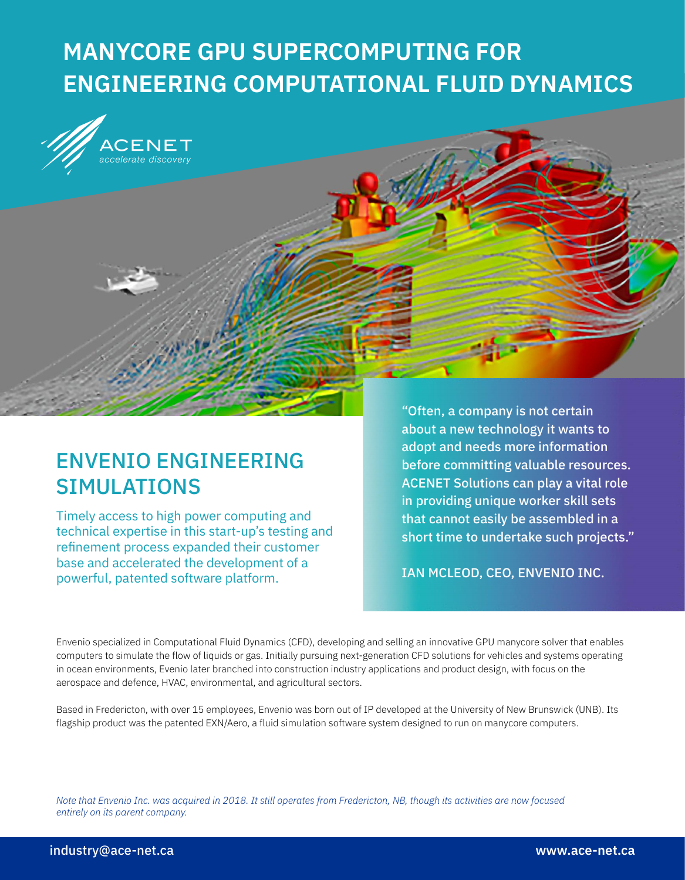# **MANYCORE GPU SUPERCOMPUTING FOR ENGINEERING COMPUTATIONAL FLUID DYNAMICS**



# ENVENIO ENGINEERING SIMULATIONS

Timely access to high power computing and technical expertise in this start-up's testing and refinement process expanded their customer base and accelerated the development of a powerful, patented software platform.

"Often, a company is not certain about a new technology it wants to adopt and needs more information before committing valuable resources. ACENET Solutions can play a vital role in providing unique worker skill sets that cannot easily be assembled in a short time to undertake such projects."

IAN MCLEOD, CEO, ENVENIO INC.

Envenio specialized in Computational Fluid Dynamics (CFD), developing and selling an innovative GPU manycore solver that enables computers to simulate the flow of liquids or gas. Initially pursuing next-generation CFD solutions for vehicles and systems operating in ocean environments, Evenio later branched into construction industry applications and product design, with focus on the aerospace and defence, HVAC, environmental, and agricultural sectors.

Based in Fredericton, with over 15 employees, Envenio was born out of IP developed at the University of New Brunswick (UNB). Its flagship product was the patented EXN/Aero, a fluid simulation software system designed to run on manycore computers.

*Note that Envenio Inc. was acquired in 2018. It still operates from Fredericton, NB, though its activities are now focused entirely on its parent company.*